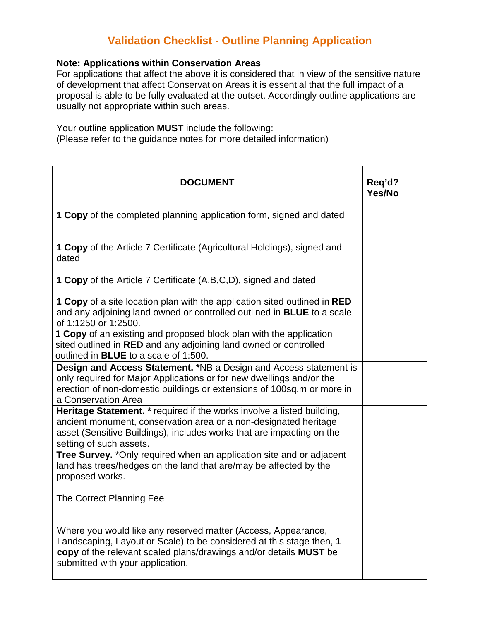## **Validation Checklist - Outline Planning Application**

## **Note: Applications within Conservation Areas**

For applications that affect the above it is considered that in view of the sensitive nature of development that affect Conservation Areas it is essential that the full impact of a proposal is able to be fully evaluated at the outset. Accordingly outline applications are usually not appropriate within such areas.

Your outline application **MUST** include the following:

(Please refer to the guidance notes for more detailed information)

| <b>DOCUMENT</b>                                                                                                                                                                                                                                | Reg'd?<br>Yes/No |
|------------------------------------------------------------------------------------------------------------------------------------------------------------------------------------------------------------------------------------------------|------------------|
| <b>1 Copy</b> of the completed planning application form, signed and dated                                                                                                                                                                     |                  |
| <b>1 Copy</b> of the Article 7 Certificate (Agricultural Holdings), signed and<br>dated                                                                                                                                                        |                  |
| <b>1 Copy</b> of the Article 7 Certificate (A,B,C,D), signed and dated                                                                                                                                                                         |                  |
| 1 Copy of a site location plan with the application sited outlined in RED<br>and any adjoining land owned or controlled outlined in <b>BLUE</b> to a scale<br>of 1:1250 or 1:2500.                                                             |                  |
| 1 Copy of an existing and proposed block plan with the application<br>sited outlined in RED and any adjoining land owned or controlled<br>outlined in <b>BLUE</b> to a scale of 1:500.                                                         |                  |
| Design and Access Statement. *NB a Design and Access statement is<br>only required for Major Applications or for new dwellings and/or the<br>erection of non-domestic buildings or extensions of 100sq.m or more in<br>a Conservation Area     |                  |
| Heritage Statement. * required if the works involve a listed building,<br>ancient monument, conservation area or a non-designated heritage<br>asset (Sensitive Buildings), includes works that are impacting on the<br>setting of such assets. |                  |
| Tree Survey. * Only required when an application site and or adjacent<br>land has trees/hedges on the land that are/may be affected by the<br>proposed works.                                                                                  |                  |
| The Correct Planning Fee                                                                                                                                                                                                                       |                  |
| Where you would like any reserved matter (Access, Appearance,<br>Landscaping, Layout or Scale) to be considered at this stage then, 1<br>copy of the relevant scaled plans/drawings and/or details MUST be<br>submitted with your application. |                  |